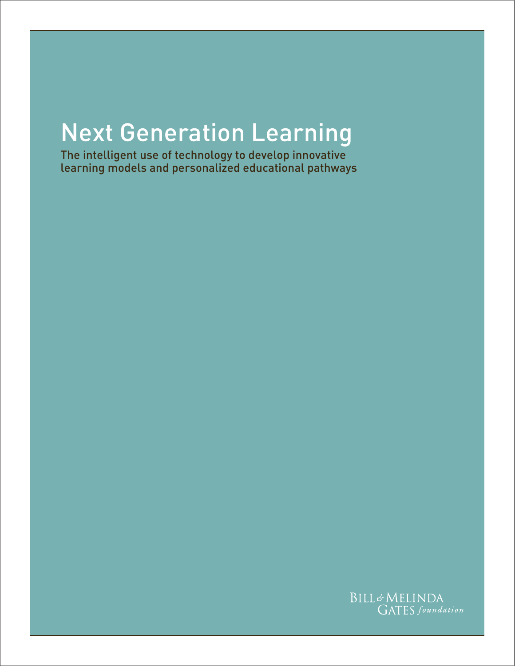# Next Generation Learning

The intelligent use of technology to develop innovative learning models and personalized educational pathways

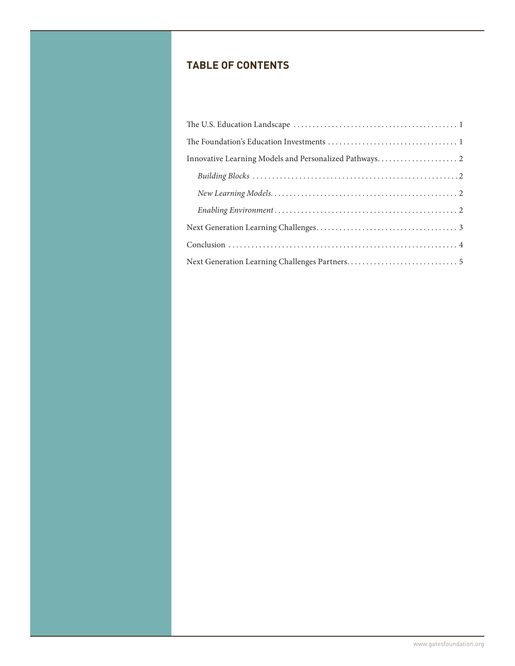## **Table of Contents**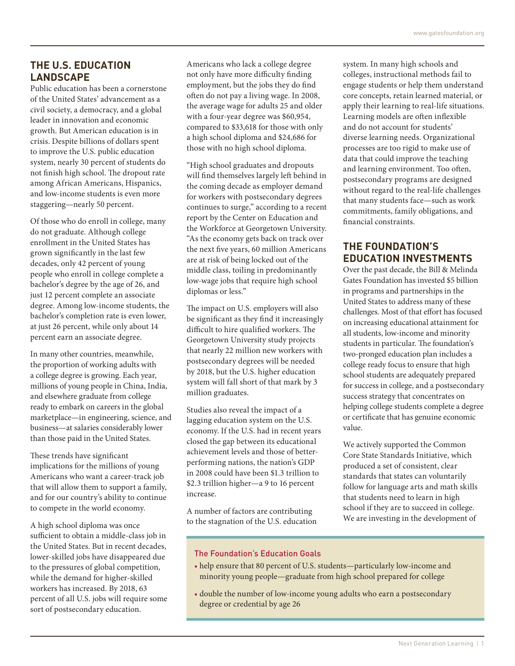#### **The U.S. Education Landscape**

Public education has been a cornerstone of the United States' advancement as a civil society, a democracy, and a global leader in innovation and economic growth. But American education is in crisis. Despite billions of dollars spent to improve the U.S. public education system, nearly 30 percent of students do not finish high school. The dropout rate among African Americans, Hispanics, and low-income students is even more staggering—nearly 50 percent.

Of those who do enroll in college, many do not graduate. Although college enrollment in the United States has grown significantly in the last few decades, only 42 percent of young people who enroll in college complete a bachelor's degree by the age of 26, and just 12 percent complete an associate degree. Among low-income students, the bachelor's completion rate is even lower, at just 26 percent, while only about 14 percent earn an associate degree.

In many other countries, meanwhile, the proportion of working adults with a college degree is growing. Each year, millions of young people in China, India, and elsewhere graduate from college ready to embark on careers in the global marketplace—in engineering, science, and business—at salaries considerably lower than those paid in the United States.

These trends have significant implications for the millions of young Americans who want a career-track job that will allow them to support a family, and for our country's ability to continue to compete in the world economy.

A high school diploma was once sufficient to obtain a middle-class job in the United States. But in recent decades, lower-skilled jobs have disappeared due to the pressures of global competition, while the demand for higher-skilled workers has increased. By 2018, 63 percent of all U.S. jobs will require some sort of postsecondary education.

Americans who lack a college degree not only have more difficulty finding employment, but the jobs they do find often do not pay a living wage. In 2008, the average wage for adults 25 and older with a four-year degree was \$60,954, compared to \$33,618 for those with only a high school diploma and \$24,686 for those with no high school diploma.

"High school graduates and dropouts will find themselves largely left behind in the coming decade as employer demand for workers with postsecondary degrees continues to surge," according to a recent report by the Center on Education and the Workforce at Georgetown University. "As the economy gets back on track over the next five years, 60 million Americans are at risk of being locked out of the middle class, toiling in predominantly low-wage jobs that require high school diplomas or less."

The impact on U.S. employers will also be significant as they find it increasingly difficult to hire qualified workers. The Georgetown University study projects that nearly 22 million new workers with postsecondary degrees will be needed by 2018, but the U.S. higher education system will fall short of that mark by 3 million graduates.

Studies also reveal the impact of a lagging education system on the U.S. economy. If the U.S. had in recent years closed the gap between its educational achievement levels and those of betterperforming nations, the nation's GDP in 2008 could have been \$1.3 trillion to \$2.3 trillion higher—a 9 to 16 percent increase.

A number of factors are contributing to the stagnation of the U.S. education system. In many high schools and colleges, instructional methods fail to engage students or help them understand core concepts, retain learned material, or apply their learning to real-life situations. Learning models are often inflexible and do not account for students' diverse learning needs. Organizational processes are too rigid to make use of data that could improve the teaching and learning environment. Too often, postsecondary programs are designed without regard to the real-life challenges that many students face—such as work commitments, family obligations, and financial constraints.

## **The Foundation's Education Investments**

Over the past decade, the Bill & Melinda Gates Foundation has invested \$5 billion in programs and partnerships in the United States to address many of these challenges. Most of that effort has focused on increasing educational attainment for all students, low-income and minority students in particular. The foundation's two-pronged education plan includes a college ready focus to ensure that high school students are adequately prepared for success in college, and a postsecondary success strategy that concentrates on helping college students complete a degree or certificate that has genuine economic value.

We actively supported the Common Core State Standards Initiative, which produced a set of consistent, clear standards that states can voluntarily follow for language arts and math skills that students need to learn in high school if they are to succeed in college. We are investing in the development of

#### The Foundation's Education Goals

- help ensure that 80 percent of U.S. students—particularly low-income and minority young people—graduate from high school prepared for college
- double the number of low-income young adults who earn a postsecondary degree or credential by age 26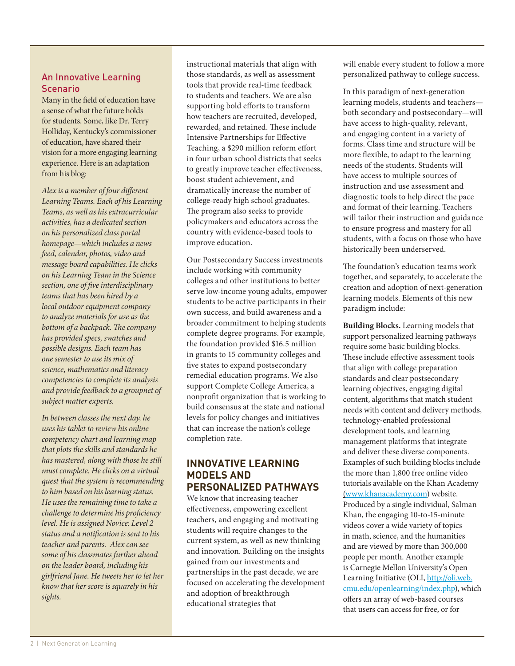#### An Innovative Learning Scenario

Many in the field of education have a sense of what the future holds for students. Some, like Dr. Terry Holliday, Kentucky's commissioner of education, have shared their vision for a more engaging learning experience. Here is an adaptation from his blog:

*Alex is a member of four different Learning Teams. Each of his Learning Teams, as well as his extracurricular activities, has a dedicated section on his personalized class portal homepage—which includes a news feed, calendar, photos, video and message board capabilities. He clicks on his Learning Team in the Science section, one of five interdisciplinary teams that has been hired by a local outdoor equipment company to analyze materials for use as the bottom of a backpack. The company has provided specs, swatches and possible designs. Each team has one semester to use its mix of science, mathematics and literacy competencies to complete its analysis and provide feedback to a groupnet of subject matter experts.*

*In between classes the next day, he uses his tablet to review his online competency chart and learning map that plots the skills and standards he has mastered, along with those he still must complete. He clicks on a virtual quest that the system is recommending to him based on his learning status. He uses the remaining time to take a challenge to determine his proficiency level. He is assigned Novice: Level 2 status and a notification is sent to his teacher and parents. Alex can see some of his classmates further ahead on the leader board, including his girlfriend Jane. He tweets her to let her know that her score is squarely in his sights.*

instructional materials that align with those standards, as well as assessment tools that provide real-time feedback to students and teachers. We are also supporting bold efforts to transform how teachers are recruited, developed, rewarded, and retained. These include Intensive Partnerships for Effective Teaching, a \$290 million reform effort in four urban school districts that seeks to greatly improve teacher effectiveness, boost student achievement, and dramatically increase the number of college-ready high school graduates. The program also seeks to provide policymakers and educators across the country with evidence-based tools to improve education.

Our Postsecondary Success investments include working with community colleges and other institutions to better serve low-income young adults, empower students to be active participants in their own success, and build awareness and a broader commitment to helping students complete degree programs. For example, the foundation provided \$16.5 million in grants to 15 community colleges and five states to expand postsecondary remedial education programs. We also support Complete College America, a nonprofit organization that is working to build consensus at the state and national levels for policy changes and initiatives that can increase the nation's college completion rate.

#### **Innovative Learning Models and Personalized Pathways**

We know that increasing teacher effectiveness, empowering excellent teachers, and engaging and motivating students will require changes to the current system, as well as new thinking and innovation. Building on the insights gained from our investments and partnerships in the past decade, we are focused on accelerating the development and adoption of breakthrough educational strategies that

will enable every student to follow a more personalized pathway to college success.

In this paradigm of next-generation learning models, students and teachers both secondary and postsecondary—will have access to high-quality, relevant, and engaging content in a variety of forms. Class time and structure will be more flexible, to adapt to the learning needs of the students. Students will have access to multiple sources of instruction and use assessment and diagnostic tools to help direct the pace and format of their learning. Teachers will tailor their instruction and guidance to ensure progress and mastery for all students, with a focus on those who have historically been underserved.

The foundation's education teams work together, and separately, to accelerate the creation and adoption of next-generation learning models. Elements of this new paradigm include:

**Building Blocks.** Learning models that support personalized learning pathways require some basic building blocks. These include effective assessment tools that align with college preparation standards and clear postsecondary learning objectives, engaging digital content, algorithms that match student needs with content and delivery methods, technology-enabled professional development tools, and learning management platforms that integrate and deliver these diverse components. Examples of such building blocks include the more than 1,800 free online video tutorials available on the Khan Academy [\(www.khanacademy.com\)](http://www.khanacademy.org) website. Produced by a single individual, Salman Khan, the engaging 10-to-15-minute videos cover a wide variety of topics in math, science, and the humanities and are viewed by more than 300,000 people per month. Another example is Carnegie Mellon University's [O](http://)pen Learning Initiative (OLI, [http://oli.web.](http://oli.web.cmu.edu/openlearning/index.php) [cmu.edu/openlearning/index.php\)](http://oli.web.cmu.edu/openlearning/index.php), which offers an array of web-based courses that users can access for free, or for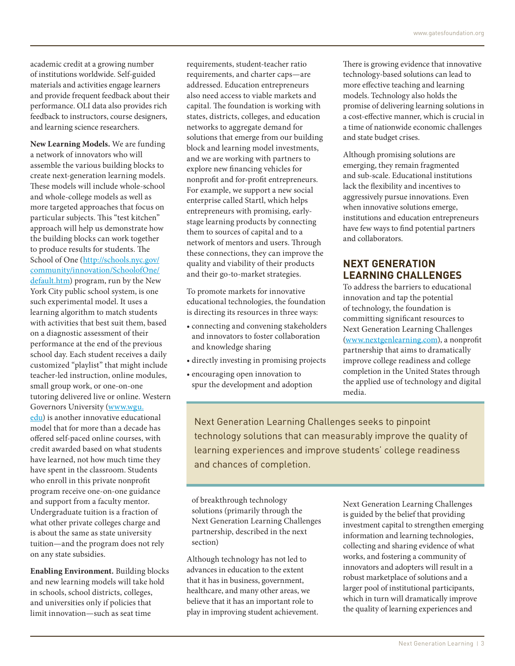academic credit at a growing number of institutions worldwide. Self-guided materials and activities engage learners and provide frequent feedback about their performance. OLI data also provides rich feedback to instructors, course designers, and learning science researchers.

**New Learning Models.** We are funding a network of innovators who will assemble the various building blocks to create next-generation learning models. These models will include whole-school and whole-college models as well as more targeted approaches that focus on particular subjects. This "test kitchen" approach will help us demonstrate how the building blocks can work together to produce results for students. The School of One ([http://schools.nyc.gov/](http://schools.nyc.gov/community/innovation/SchoolofOne/default.htm) [community/innovation/SchoolofOne/](http://schools.nyc.gov/community/innovation/SchoolofOne/default.htm) [default.htm\)](http://schools.nyc.gov/community/innovation/SchoolofOne/default.htm) program, run by the New York City public school system, is one such experimental model. It uses a learning algorithm to match students with activities that best suit them, based on a diagnostic assessment of their performance at the end of the previous school day. Each student receives a daily customized "playlist" that might include teacher-led instruction, online modules, small group work, or one-on-one tutoring delivered live or online. Western Governors University [\(www.wgu.](http://www.wgu.edu/) [edu](http://www.wgu.edu/)) is another innovative educational model that for more than a decade has offered self-paced online courses, with credit awarded based on what students have learned, not how much time they have spent in the classroom. Students who enroll in this private nonprofit program receive one-on-one guidance and support from a faculty mentor. Undergraduate tuition is a fraction of what other private colleges charge and is about the same as state university tuition—and the program does not rely on any state subsidies.

**Enabling Environment.** Building blocks and new learning models will take hold in schools, school districts, colleges, and universities only if policies that limit innovation—such as seat time

requirements, student-teacher ratio requirements, and charter caps—are addressed. Education entrepreneurs also need access to viable markets and capital. The foundation is working with states, districts, colleges, and education networks to aggregate demand for solutions that emerge from our building block and learning model investments, and we are working with partners to explore new financing vehicles for nonprofit and for-profit entrepreneurs. For example, we support a new social enterprise called Startl, which helps entrepreneurs with promising, earlystage learning products by connecting them to sources of capital and to a network of mentors and users. Through these connections, they can improve the quality and viability of their products and their go-to-market strategies.

To promote markets for innovative educational technologies, the foundation is directing its resources in three ways:

- • connecting and convening stakeholders and innovators to foster collaboration and knowledge sharing
- • directly investing in promising projects
- • encouraging open innovation to spur the development and adoption

There is growing evidence that innovative technology-based solutions can lead to more effective teaching and learning models. Technology also holds the promise of delivering learning solutions in a cost-effective manner, which is crucial in a time of nationwide economic challenges and state budget crises.

Although promising solutions are emerging, they remain fragmented and sub-scale. Educational institutions lack the flexibility and incentives to aggressively pursue innovations. Even when innovative solutions emerge, institutions and education entrepreneurs have few ways to find potential partners and collaborators.

## **Next Generation Learning Challenges**

To address the barriers to educational innovation and tap the potential of technology, the foundation is committing significant resources to Next Generation Learning Challenges [\(www.nextgenlearning.com\),](http://www.nextgenlearning.com/) a nonprofit partnership that aims to dramatically improve college readiness and college completion in the United States through the applied use of technology and digital media.

Next Generation Learning Challenges seeks to pinpoint technology solutions that can measurably improve the quality of learning experiences and improve students' college readiness and chances of completion.

of breakthrough technology solutions (primarily through the Next Generation Learning Challenges partnership, described in the next section)

Although technology has not led to advances in education to the extent that it has in business, government, healthcare, and many other areas, we believe that it has an important role to play in improving student achievement. Next Generation Learning Challenges is guided by the belief that providing investment capital to strengthen emerging information and learning technologies, collecting and sharing evidence of what works, and fostering a community of innovators and adopters will result in a robust marketplace of solutions and a larger pool of institutional participants, which in turn will dramatically improve the quality of learning experiences and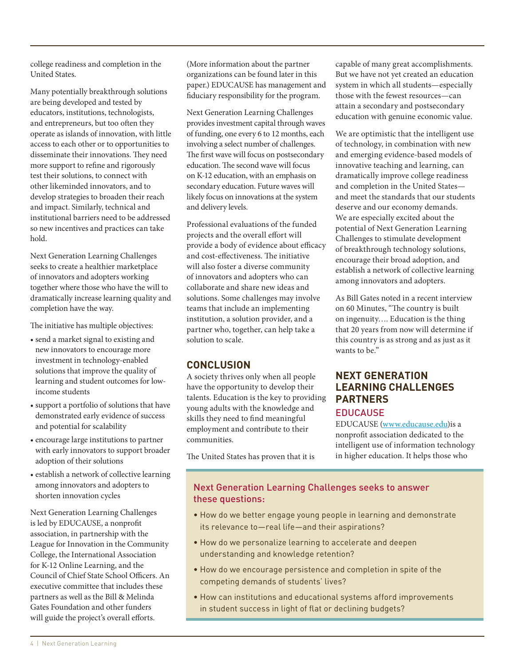college readiness and completion in the United States.

Many potentially breakthrough solutions are being developed and tested by educators, institutions, technologists, and entrepreneurs, but too often they operate as islands of innovation, with little access to each other or to opportunities to disseminate their innovations. They need more support to refine and rigorously test their solutions, to connect with other likeminded innovators, and to develop strategies to broaden their reach and impact. Similarly, technical and institutional barriers need to be addressed so new incentives and practices can take hold.

Next Generation Learning Challenges seeks to create a healthier marketplace of innovators and adopters working together where those who have the will to dramatically increase learning quality and completion have the way.

The initiative has multiple objectives:

- • send a market signal to existing and new innovators to encourage more investment in technology-enabled solutions that improve the quality of learning and student outcomes for lowincome students
- support a portfolio of solutions that have demonstrated early evidence of success and potential for scalability
- • encourage large institutions to partner with early innovators to support broader adoption of their solutions
- establish a network of collective learning among innovators and adopters to shorten innovation cycles

Next Generation Learning Challenges is led by EDUCAUSE, a nonprofit association, in partnership with the League for Innovation in the Community College, the International Association for K-12 Online Learning, and the Council of Chief State School Officers. An executive committee that includes these partners as well as the Bill & Melinda Gates Foundation and other funders will guide the project's overall efforts.

(More information about the partner organizations can be found later in this paper.) EDUCAUSE has management and fiduciary responsibility for the program.

Next Generation Learning Challenges provides investment capital through waves of funding, one every 6 to 12 months, each involving a select number of challenges. The first wave will focus on postsecondary education. The second wave will focus on K-12 education, with an emphasis on secondary education. Future waves will likely focus on innovations at the system and delivery levels.

Professional evaluations of the funded projects and the overall effort will provide a body of evidence about efficacy and cost-effectiveness. The initiative will also foster a diverse community of innovators and adopters who can collaborate and share new ideas and solutions. Some challenges may involve teams that include an implementing institution, a solution provider, and a partner who, together, can help take a solution to scale.

#### **Conclusion**

A society thrives only when all people have the opportunity to develop their talents. Education is the key to providing young adults with the knowledge and skills they need to find meaningful employment and contribute to their communities.

capable of many great accomplishments. But we have not yet created an education system in which all students—especially those with the fewest resources—can attain a secondary and postsecondary education with genuine economic value.

We are optimistic that the intelligent use of technology, in combination with new and emerging evidence-based models of innovative teaching and learning, can dramatically improve college readiness and completion in the United States and meet the standards that our students deserve and our economy demands. We are especially excited about the potential of Next Generation Learning Challenges to stimulate development of breakthrough technology solutions, encourage their broad adoption, and establish a network of collective learning among innovators and adopters.

As Bill Gates noted in a recent interview on 60 Minutes, "The country is built on ingenuity…. Education is the thing that 20 years from now will determine if this country is as strong and as just as it wants to be."

#### **Next Generation Learning Challenges Partners EDUCAUSE**

EDUCAUSE [\(www.educause.edu](http://www.educause.edu/))is a nonprofit association dedicated to the intelligent use of information technology in higher education. It helps those who

The United States has proven that it is

#### Next Generation Learning Challenges seeks to answer these questions:

- How do we better engage young people in learning and demonstrate its relevance to—real life—and their aspirations?
- How do we personalize learning to accelerate and deepen understanding and knowledge retention?
- How do we encourage persistence and completion in spite of the competing demands of students' lives?
- How can institutions and educational systems afford improvements in student success in light of flat or declining budgets?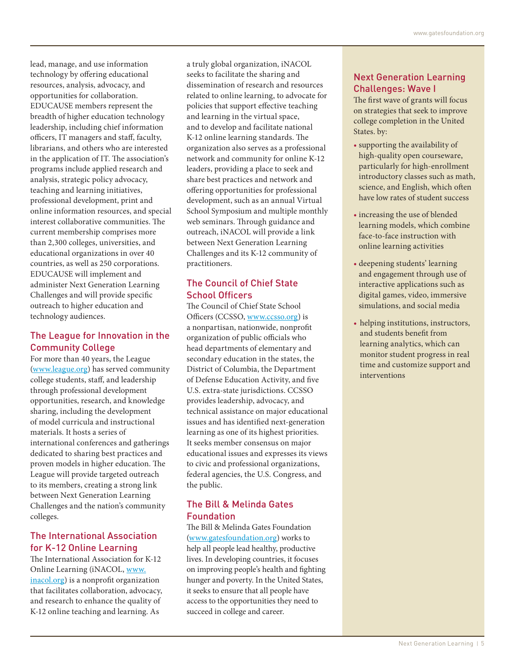lead, manage, and use information technology by offering educational resources, analysis, advocacy, and opportunities for collaboration. EDUCAUSE members represent the breadth of higher education technology leadership, including chief information officers, IT managers and staff, faculty, librarians, and others who are interested in the application of IT. The association's programs include applied research and analysis, strategic policy advocacy, teaching and learning initiatives, professional development, print and online information resources, and special interest collaborative communities. The current membership comprises more than 2,300 colleges, universities, and educational organizations in over 40 countries, as well as 250 corporations. EDUCAUSE will implement and administer Next Generation Learning Challenges and will provide specific outreach to higher education and technology audiences.

#### [The League for Innovation in the](http://)  [Community College](http://)

For more than 40 years, the League [\(www.league.org](http://www.league.org/)) has served community college students, staff, and leadership through professional development opportunities, research, and knowledge sharing, including the development of model curricula and instructional materials. It hosts a series of international conferences and gatherings dedicated to sharing best practices and proven models in higher education. The League will provide targeted outreach to its members, creating a strong link between Next Generation Learning Challenges and the nation's community colleges.

#### [The International Association](http://)  [for K-12 Online Learning](http://)

The International Association for K-12 Online Learning (iNACOL, [www.](http://www.inacol.org/) [inacol.org\)](http://www.inacol.org/) is a nonprofit organization that facilitates collaboration, advocacy, and research to enhance the quality of K-12 online teaching and learning. As

a truly global organization, iNACOL seeks to facilitate the sharing and dissemination of research and resources related to online learning, to advocate for policies that support effective teaching and learning in the virtual space, and to develop and facilitate national K-12 online learning standards. The organization also serves as a professional network and community for online K-12 leaders, providing a place to seek and share best practices and network and offering opportunities for professional development, such as an annual Virtual School Symposium and multiple monthly web seminars. Through guidance and outreach, iNACOL will provide a link between Next Generation Learning Challenges and its K-12 community of practitioners.

## [The Council of Chief State](http://)  [School Officers](http://)

The Council of Chief State School Officers (CCSSO, www.ccsso.org) is a nonpartisan, nationwide, nonprofit organization of public officials who head departments of elementary and secondary education in the states, the District of Columbia, the Department of Defense Education Activity, and five U.S. extra-state jurisdictions. CCSSO provides leadership, advocacy, and technical assistance on major educational issues and has identified next-generation learning as one of its highest priorities. It seeks member consensus on major educational issues and expresses its views to civic and professional organizations, federal agencies, the U.S. Congress, and the public.

### [The Bill & Melinda Gates](http://)  **[Foundation](http://)**

The Bill & Melinda Gates Foundation [\(www.gatesfoundation.org](http://www.gatesfoundation.org)) works to help all people lead healthy, productive lives. In developing countries, it focuses on improving people's health and fighting hunger and poverty. In the United States, it seeks to ensure that all people have access to the opportunities they need to succeed in college and career.

#### Next Generation Learning Challenges: Wave I

The first wave of grants will focus on strategies that seek to improve college completion in the United States. by:

- supporting the availability of high-quality open courseware, particularly for high-enrollment introductory classes such as math, science, and English, which often have low rates of student success
- increasing the use of blended learning models, which combine face-to-face instruction with online learning activities
- deepening students' learning and engagement through use of interactive applications such as digital games, video, immersive simulations, and social media
- helping institutions, instructors, and students benefit from learning analytics, which can monitor student progress in real time and customize support and interventions